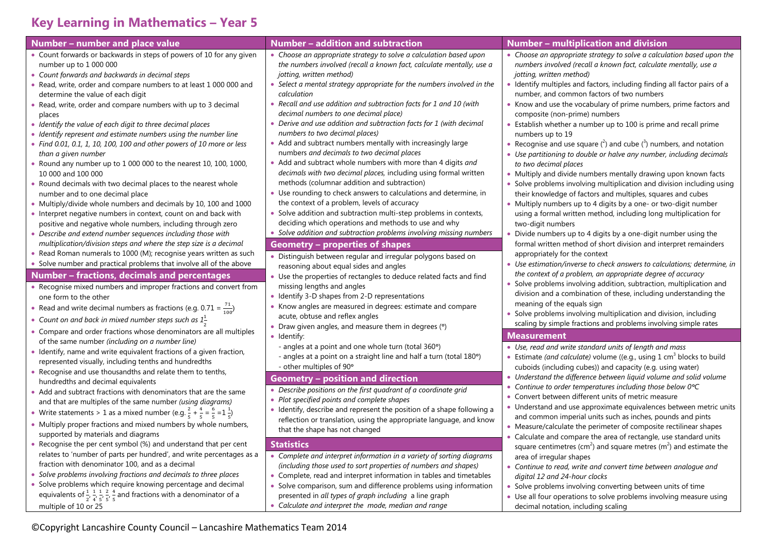## **Key Learning in Mathematics – Year 5**

| Number - number and place value                                                                                                                                                                                                                                                                                                                                                                                                                                                                                                                                                                                                                                                                                                                                                                                                                                                                                                                                                                                                                                                                                                                                                                                                                                                                                       | Number - addition and subtraction                                                                                                                                                                                                                                                                                                                                                                                                                                                                                                                                                                                                                                                                                                                                                                                                                                                                                                                                                                                                                                                                                                                                                                                                                                                                                                            | Number - multiplication and division                                                                                                                                                                                                                                                                                                                                                                                                                                                                                                                                                                                                                                                                                                                                                                                                                                                                                                                                                                                                                                                                                                                                                                                                                                                                                                                                          |
|-----------------------------------------------------------------------------------------------------------------------------------------------------------------------------------------------------------------------------------------------------------------------------------------------------------------------------------------------------------------------------------------------------------------------------------------------------------------------------------------------------------------------------------------------------------------------------------------------------------------------------------------------------------------------------------------------------------------------------------------------------------------------------------------------------------------------------------------------------------------------------------------------------------------------------------------------------------------------------------------------------------------------------------------------------------------------------------------------------------------------------------------------------------------------------------------------------------------------------------------------------------------------------------------------------------------------|----------------------------------------------------------------------------------------------------------------------------------------------------------------------------------------------------------------------------------------------------------------------------------------------------------------------------------------------------------------------------------------------------------------------------------------------------------------------------------------------------------------------------------------------------------------------------------------------------------------------------------------------------------------------------------------------------------------------------------------------------------------------------------------------------------------------------------------------------------------------------------------------------------------------------------------------------------------------------------------------------------------------------------------------------------------------------------------------------------------------------------------------------------------------------------------------------------------------------------------------------------------------------------------------------------------------------------------------|-------------------------------------------------------------------------------------------------------------------------------------------------------------------------------------------------------------------------------------------------------------------------------------------------------------------------------------------------------------------------------------------------------------------------------------------------------------------------------------------------------------------------------------------------------------------------------------------------------------------------------------------------------------------------------------------------------------------------------------------------------------------------------------------------------------------------------------------------------------------------------------------------------------------------------------------------------------------------------------------------------------------------------------------------------------------------------------------------------------------------------------------------------------------------------------------------------------------------------------------------------------------------------------------------------------------------------------------------------------------------------|
| • Count forwards or backwards in steps of powers of 10 for any given<br>number up to 1 000 000<br>• Count forwards and backwards in decimal steps<br>• Read, write, order and compare numbers to at least 1 000 000 and<br>determine the value of each digit<br>• Read, write, order and compare numbers with up to 3 decimal<br>places<br>• Identify the value of each digit to three decimal places<br>• Identify represent and estimate numbers using the number line<br>• Find 0.01, 0.1, 1, 10, 100, 100 and other powers of 10 more or less<br>than a given number<br>• Round any number up to $1000000$ to the nearest 10, 100, 1000,<br>10 000 and 100 000<br>• Round decimals with two decimal places to the nearest whole<br>number and to one decimal place<br>• Multiply/divide whole numbers and decimals by 10, 100 and 1000<br>• Interpret negative numbers in context, count on and back with<br>positive and negative whole numbers, including through zero<br>• Describe and extend number sequences including those with<br>multiplication/division steps and where the step size is a decimal<br>• Read Roman numerals to 1000 (M); recognise years written as such<br>• Solve number and practical problems that involve all of the above<br><b>Number - fractions, decimals and percentages</b> | • Choose an appropriate strategy to solve a calculation based upon<br>the numbers involved (recall a known fact, calculate mentally, use a<br>jotting, written method)<br>• Select a mental strategy appropriate for the numbers involved in the<br>calculation<br>• Recall and use addition and subtraction facts for 1 and 10 (with<br>decimal numbers to one decimal place)<br>• Derive and use addition and subtraction facts for 1 (with decimal<br>numbers to two decimal places)<br>• Add and subtract numbers mentally with increasingly large<br>numbers and decimals to two decimal places<br>• Add and subtract whole numbers with more than 4 digits and<br>decimals with two decimal places, including using formal written<br>methods (columnar addition and subtraction)<br>• Use rounding to check answers to calculations and determine, in<br>the context of a problem, levels of accuracy<br>• Solve addition and subtraction multi-step problems in contexts,<br>deciding which operations and methods to use and why<br>• Solve addition and subtraction problems involving missing numbers<br><b>Geometry - properties of shapes</b><br>• Distinguish between regular and irregular polygons based on<br>reasoning about equal sides and angles<br>• Use the properties of rectangles to deduce related facts and find | • Choose an appropriate strategy to solve a calculation based upon the<br>numbers involved (recall a known fact, calculate mentally, use a<br>jotting, written method)<br>• Identify multiples and factors, including finding all factor pairs of a<br>number, and common factors of two numbers<br>• Know and use the vocabulary of prime numbers, prime factors and<br>composite (non-prime) numbers<br>• Establish whether a number up to 100 is prime and recall prime<br>numbers up to 19<br>• Recognise and use square $({}^{2})$ and cube $({}^{3})$ numbers, and notation<br>• Use partitioning to double or halve any number, including decimals<br>to two decimal places<br>• Multiply and divide numbers mentally drawing upon known facts<br>• Solve problems involving multiplication and division including using<br>their knowledge of factors and multiples, squares and cubes<br>• Multiply numbers up to 4 digits by a one- or two-digit number<br>using a formal written method, including long multiplication for<br>two-digit numbers<br>• Divide numbers up to 4 digits by a one-digit number using the<br>formal written method of short division and interpret remainders<br>appropriately for the context<br>• Use estimation/inverse to check answers to calculations; determine, in<br>the context of a problem, an appropriate degree of accuracy |
| • Recognise mixed numbers and improper fractions and convert from<br>one form to the other<br>• Read and write decimal numbers as fractions (e.g. 0.71 = $\frac{71}{100}$ )<br>• Count on and back in mixed number steps such as $1\frac{1}{2}$                                                                                                                                                                                                                                                                                                                                                                                                                                                                                                                                                                                                                                                                                                                                                                                                                                                                                                                                                                                                                                                                       | missing lengths and angles<br>• Identify 3-D shapes from 2-D representations<br>• Know angles are measured in degrees: estimate and compare<br>acute, obtuse and reflex angles<br>• Draw given angles, and measure them in degrees (°)                                                                                                                                                                                                                                                                                                                                                                                                                                                                                                                                                                                                                                                                                                                                                                                                                                                                                                                                                                                                                                                                                                       | • Solve problems involving addition, subtraction, multiplication and<br>division and a combination of these, including understanding the<br>meaning of the equals sign<br>• Solve problems involving multiplication and division, including<br>scaling by simple fractions and problems involving simple rates                                                                                                                                                                                                                                                                                                                                                                                                                                                                                                                                                                                                                                                                                                                                                                                                                                                                                                                                                                                                                                                                |
| • Compare and order fractions whose denominators are all multiples<br>of the same number (including on a number line)                                                                                                                                                                                                                                                                                                                                                                                                                                                                                                                                                                                                                                                                                                                                                                                                                                                                                                                                                                                                                                                                                                                                                                                                 | • Identify:                                                                                                                                                                                                                                                                                                                                                                                                                                                                                                                                                                                                                                                                                                                                                                                                                                                                                                                                                                                                                                                                                                                                                                                                                                                                                                                                  | <b>Measurement</b>                                                                                                                                                                                                                                                                                                                                                                                                                                                                                                                                                                                                                                                                                                                                                                                                                                                                                                                                                                                                                                                                                                                                                                                                                                                                                                                                                            |
| • Identify, name and write equivalent fractions of a given fraction,<br>represented visually, including tenths and hundredths<br>• Recognise and use thousandths and relate them to tenths,<br>hundredths and decimal equivalents<br>• Add and subtract fractions with denominators that are the same                                                                                                                                                                                                                                                                                                                                                                                                                                                                                                                                                                                                                                                                                                                                                                                                                                                                                                                                                                                                                 | - angles at a point and one whole turn (total 360°)<br>- angles at a point on a straight line and half a turn (total 180°)<br>- other multiples of 90°<br><b>Geometry - position and direction</b><br>• Describe positions on the first quadrant of a coordinate grid                                                                                                                                                                                                                                                                                                                                                                                                                                                                                                                                                                                                                                                                                                                                                                                                                                                                                                                                                                                                                                                                        | • Use, read and write standard units of length and mass<br>• Estimate (and calculate) volume ((e.g., using $1 \text{ cm}^3$ blocks to build<br>cuboids (including cubes)) and capacity (e.g. using water)<br>• Understand the difference between liquid volume and solid volume<br>• Continue to order temperatures including those below $0^{\circ}C$                                                                                                                                                                                                                                                                                                                                                                                                                                                                                                                                                                                                                                                                                                                                                                                                                                                                                                                                                                                                                        |
| and that are multiples of the same number (using diagrams)<br>• Write statements > 1 as a mixed number (e.g. $\frac{2}{5} + \frac{4}{5} = \frac{6}{5} = 1\frac{1}{5}$ )<br>• Multiply proper fractions and mixed numbers by whole numbers,<br>supported by materials and diagrams                                                                                                                                                                                                                                                                                                                                                                                                                                                                                                                                                                                                                                                                                                                                                                                                                                                                                                                                                                                                                                     | • Plot specified points and complete shapes<br>• Identify, describe and represent the position of a shape following a<br>reflection or translation, using the appropriate language, and know<br>that the shape has not changed                                                                                                                                                                                                                                                                                                                                                                                                                                                                                                                                                                                                                                                                                                                                                                                                                                                                                                                                                                                                                                                                                                               | • Convert between different units of metric measure<br>• Understand and use approximate equivalences between metric units<br>and common imperial units such as inches, pounds and pints<br>• Measure/calculate the perimeter of composite rectilinear shapes<br>• Calculate and compare the area of rectangle, use standard units                                                                                                                                                                                                                                                                                                                                                                                                                                                                                                                                                                                                                                                                                                                                                                                                                                                                                                                                                                                                                                             |
| • Recognise the per cent symbol (%) and understand that per cent<br>relates to 'number of parts per hundred', and write percentages as a<br>fraction with denominator 100, and as a decimal<br>• Solve problems involving fractions and decimals to three places<br>• Solve problems which require knowing percentage and decimal<br>equivalents of $\frac{1}{2}$ , $\frac{1}{4}$ , $\frac{1}{5}$ , $\frac{2}{5}$ , $\frac{4}{5}$ and fractions with a denominator of a<br>multiple of 10 or 25                                                                                                                                                                                                                                                                                                                                                                                                                                                                                                                                                                                                                                                                                                                                                                                                                       | <b>Statistics</b><br>• Complete and interpret information in a variety of sorting diagrams<br>(including those used to sort properties of numbers and shapes)<br>• Complete, read and interpret information in tables and timetables<br>• Solve comparison, sum and difference problems using information<br>presented in all types of graph including a line graph<br>• Calculate and interpret the mode, median and range                                                                                                                                                                                                                                                                                                                                                                                                                                                                                                                                                                                                                                                                                                                                                                                                                                                                                                                  | square centimetres (cm <sup>2</sup> ) and square metres ( $m2$ ) and estimate the<br>area of irregular shapes<br>• Continue to read, write and convert time between analogue and<br>digital 12 and 24-hour clocks<br>• Solve problems involving converting between units of time<br>• Use all four operations to solve problems involving measure using<br>decimal notation, including scaling                                                                                                                                                                                                                                                                                                                                                                                                                                                                                                                                                                                                                                                                                                                                                                                                                                                                                                                                                                                |